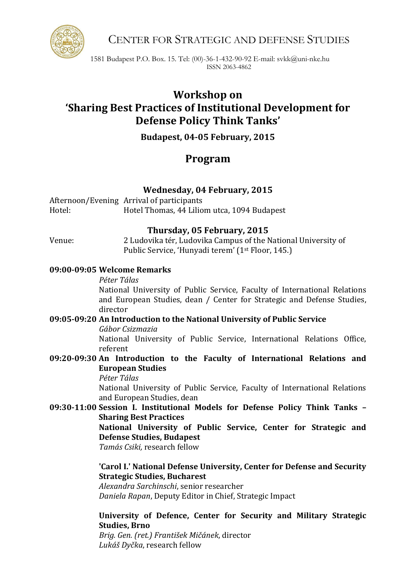CENTER FOR STRATEGIC AND DEFENSE STUDIES

1581 Budapest P.O. Box. 15. Tel: (00)-36-1-432-90-92 E-mail: svkk@uni-nke.hu ISSN 2063-4862

# **Workshop on 'Sharing Best Practices of Institutional Development for Defense Policy Think Tanks'**

**Budapest, 04-05 February, 2015**

## **Program**

## **Wednesday, 04 February, 2015**

Afternoon/Evening Arrival of participants Hotel: Hotel Thomas, 44 Liliom utca, 1094 Budapest

#### **Thursday, 05 February, 2015**

Venue: 2 Ludovika tér, Ludovika Campus of the National University of Public Service, 'Hunyadi terem' (1st Floor, 145.)

#### **09:00-09:05 Welcome Remarks**

*Péter Tálas*

National University of Public Service, Faculty of International Relations and European Studies, dean / Center for Strategic and Defense Studies, director

### **09:05-09:20 An Introduction to the National University of Public Service**

*Gábor Csizmazia*

National University of Public Service, International Relations Office, referent

#### **09:20-09:30 An Introduction to the Faculty of International Relations and European Studies**

*Péter Tálas*

National University of Public Service, Faculty of International Relations and European Studies, dean

**09:30-11:00 Session I. Institutional Models for Defense Policy Think Tanks – Sharing Best Practices**

**National University of Public Service, Center for Strategic and Defense Studies, Budapest**

*Tamás Csiki,* research fellow

#### **'Carol I.' National Defense University, Center for Defense and Security Strategic Studies, Bucharest**

*Alexandra Sarchinschi*, senior researcher *Daniela Rapan*, Deputy Editor in Chief, Strategic Impact

**University of Defence, Center for Security and Military Strategic Studies, Brno**

*Brig. Gen. (ret.) František Mičánek*, director *Lukáš Dyčka*, research fellow